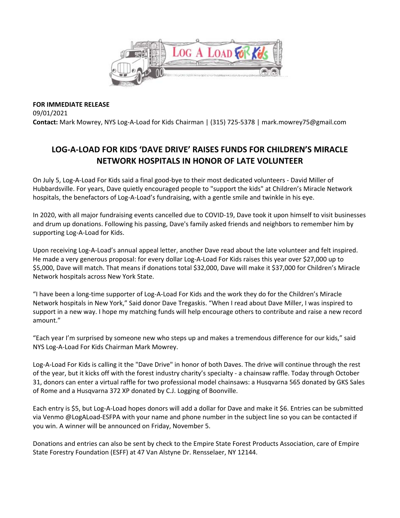

**FOR IMMEDIATE RELEASE**  09/01/2021 **Contact:** Mark Mowrey, NYS Log‐A‐Load for Kids Chairman | (315) 725‐5378 | mark.mowrey75@gmail.com

## **LOG‐A‐LOAD FOR KIDS 'DAVE DRIVE' RAISES FUNDS FOR CHILDREN'S MIRACLE NETWORK HOSPITALS IN HONOR OF LATE VOLUNTEER**

On July 5, Log‐A‐Load For Kids said a final good‐bye to their most dedicated volunteers ‐ David Miller of Hubbardsville. For years, Dave quietly encouraged people to "support the kids" at Children's Miracle Network hospitals, the benefactors of Log‐A‐Load's fundraising, with a gentle smile and twinkle in his eye.

In 2020, with all major fundraising events cancelled due to COVID-19, Dave took it upon himself to visit businesses and drum up donations. Following his passing, Dave's family asked friends and neighbors to remember him by supporting Log‐A‐Load for Kids.

Upon receiving Log‐A‐Load's annual appeal letter, another Dave read about the late volunteer and felt inspired. He made a very generous proposal: for every dollar Log-A-Load For Kids raises this year over \$27,000 up to \$5,000, Dave will match. That means if donations total \$32,000, Dave will make it \$37,000 for Children's Miracle Network hospitals across New York State.

"I have been a long‐time supporter of Log‐A‐Load For Kids and the work they do for the Children's Miracle Network hospitals in New York," Said donor Dave Tregaskis. "When I read about Dave Miller, I was inspired to support in a new way. I hope my matching funds will help encourage others to contribute and raise a new record amount."

"Each year I'm surprised by someone new who steps up and makes a tremendous difference for our kids," said NYS Log‐A‐Load For Kids Chairman Mark Mowrey.

Log‐A‐Load For Kids is calling it the "Dave Drive" in honor of both Daves. The drive will continue through the rest of the year, but it kicks off with the forest industry charity's specialty ‐ a chainsaw raffle. Today through October 31, donors can enter a virtual raffle for two professional model chainsaws: a Husqvarna 565 donated by GKS Sales of Rome and a Husqvarna 372 XP donated by C.J. Logging of Boonville.

Each entry is \$5, but Log‐A‐Load hopes donors will add a dollar for Dave and make it \$6. Entries can be submitted via Venmo @LogALoad-ESFPA with your name and phone number in the subject line so you can be contacted if you win. A winner will be announced on Friday, November 5.

Donations and entries can also be sent by check to the Empire State Forest Products Association, care of Empire State Forestry Foundation (ESFF) at 47 Van Alstyne Dr. Rensselaer, NY 12144.